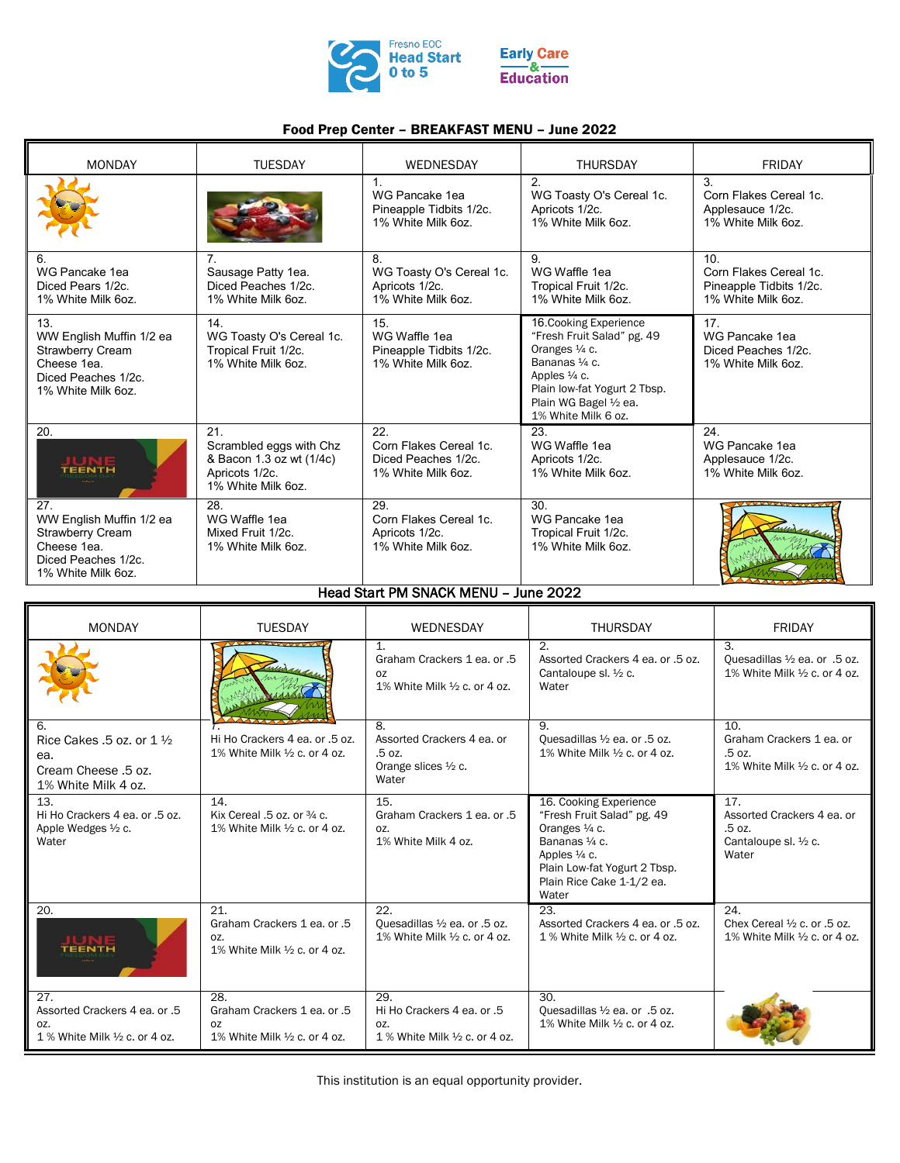

## Food Prep Center – BREAKFAST MENU – June 2022

| <b>MONDAY</b>                                                                                                          | <b>TUESDAY</b>                                                                                    | WEDNESDAY                                                                       | <b>THURSDAY</b>                                                                                                                                                                            | <b>FRIDAY</b>                                                                              |
|------------------------------------------------------------------------------------------------------------------------|---------------------------------------------------------------------------------------------------|---------------------------------------------------------------------------------|--------------------------------------------------------------------------------------------------------------------------------------------------------------------------------------------|--------------------------------------------------------------------------------------------|
|                                                                                                                        |                                                                                                   | $\mathbf{1}$<br>WG Pancake 1ea<br>Pineapple Tidbits 1/2c.<br>1% White Milk 6oz. | 2.<br>WG Toasty O's Cereal 1c.<br>Apricots 1/2c.<br>1% White Milk 6oz.                                                                                                                     | $\mathcal{S}$<br>Corn Flakes Cereal 1c.<br>Applesauce 1/2c.<br>1% White Milk 6oz.          |
| 6.<br>WG Pancake 1ea<br>Diced Pears 1/2c.<br>1% White Milk 6oz.                                                        | 7.<br>Sausage Patty 1ea.<br>Diced Peaches 1/2c.<br>1% White Milk 6oz.                             | 8<br>WG Toasty O's Cereal 1c.<br>Apricots 1/2c.<br>1% White Milk 6oz.           | 9<br>WG Waffle 1ea<br>Tropical Fruit 1/2c.<br>1% White Milk 6oz.                                                                                                                           | 10 <sup>1</sup><br>Corn Flakes Cereal 1c.<br>Pineapple Tidbits 1/2c.<br>1% White Milk 6oz. |
| 13.<br>WW English Muffin 1/2 ea<br><b>Strawberry Cream</b><br>Cheese 1ea.<br>Diced Peaches 1/2c.<br>1% White Milk 6oz. | 14.<br>WG Toasty O's Cereal 1c.<br>Tropical Fruit 1/2c.<br>1% White Milk 6oz.                     | 15.<br>WG Waffle 1ea<br>Pineapple Tidbits 1/2c.<br>1% White Milk 6oz.           | 16. Cooking Experience<br>"Fresh Fruit Salad" pg. 49<br>Oranges 1/4 c.<br>Bananas 1/4 c.<br>Apples 1/4 c.<br>Plain low-fat Yogurt 2 Tbsp.<br>Plain WG Bagel 1/2 ea.<br>1% White Milk 6 oz. | 17<br>WG Pancake 1ea<br>Diced Peaches 1/2c<br>1% White Milk 6oz.                           |
| 20.                                                                                                                    | 21<br>Scrambled eggs with Chz<br>& Bacon 1.3 oz wt (1/4c)<br>Apricots 1/2c.<br>1% White Milk 6oz. | 22<br>Corn Flakes Cereal 1c.<br>Diced Peaches 1/2c.<br>1% White Milk 6oz.       | 23<br>WG Waffle 1ea<br>Apricots 1/2c.<br>1% White Milk 6oz.                                                                                                                                | 24<br>WG Pancake 1ea<br>Applesauce 1/2c.<br>1% White Milk 6oz.                             |
| 27<br>WW English Muffin 1/2 ea<br><b>Strawberry Cream</b><br>Cheese 1ea.<br>Diced Peaches 1/2c.<br>1% White Milk 6oz.  | 28.<br>WG Waffle 1ea<br>Mixed Fruit 1/2c.<br>1% White Milk 6oz.                                   | 29.<br>Corn Flakes Cereal 1c.<br>Apricots 1/2c.<br>1% White Milk 6oz.           | 30.<br>WG Pancake 1ea<br>Tropical Fruit 1/2c.<br>1% White Milk 6oz.                                                                                                                        |                                                                                            |

## Head Start PM SNACK MENU – June 2022

| <b>MONDAY</b>                                                                                    | <b>TUESDAY</b>                                                             | <b>WEDNESDAY</b>                                                                      | <b>THURSDAY</b>                                                                                                                                                                           | <b>FRIDAY</b>                                                                             |
|--------------------------------------------------------------------------------------------------|----------------------------------------------------------------------------|---------------------------------------------------------------------------------------|-------------------------------------------------------------------------------------------------------------------------------------------------------------------------------------------|-------------------------------------------------------------------------------------------|
|                                                                                                  |                                                                            | $\mathbf 1$<br>Graham Crackers 1 ea. or .5<br>OZ<br>1% White Milk 1/2 c. or 4 oz.     | $\mathcal{D}_{\mathcal{L}}$<br>Assorted Crackers 4 ea. or .5 oz.<br>Cantaloupe sl. 1/2 c.<br>Water                                                                                        | $\mathcal{B}$<br>Ouesadillas 1/2 ea. or .5 oz.<br>1% White Milk $\frac{1}{2}$ c. or 4 oz. |
| 6.<br>Rice Cakes $.5$ oz. or $1\frac{1}{2}$<br>ea.<br>Cream Cheese .5 oz.<br>1% White Milk 4 oz. | Hi Ho Crackers 4 ea. or .5 oz.<br>1% White Milk $\frac{1}{2}$ c. or 4 oz.  | 8.<br>Assorted Crackers 4 ea. or<br>.5 oz.<br>Orange slices $\frac{1}{2}$ c.<br>Water | 9.<br>Ouesadillas 1/2 ea. or .5 oz.<br>1% White Milk $\frac{1}{2}$ c. or 4 oz.                                                                                                            | 10.<br>Graham Crackers 1 ea. or<br>.5 oz.<br>1% White Milk 1/2 c. or 4 oz.                |
| 13.<br>Hi Ho Crackers 4 ea. or .5 oz.<br>Apple Wedges 1/2 c.<br>Water                            | 14.<br>Kix Cereal .5 oz. or 3/4 c.<br>1% White Milk 1/2 c. or 4 oz.        | 15.<br>Graham Crackers 1 ea. or .5<br>OZ.<br>1% White Milk 4 oz.                      | 16. Cooking Experience<br>"Fresh Fruit Salad" pg. 49<br>Oranges 1/4 c.<br>Bananas 1/4 c.<br>Apples $\frac{1}{4}$ c.<br>Plain Low-fat Yogurt 2 Tbsp.<br>Plain Rice Cake 1-1/2 ea.<br>Water | 17.<br>Assorted Crackers 4 ea. or<br>.5 oz.<br>Cantaloupe sl. 1/2 c.<br>Water             |
| 20.                                                                                              | 21.<br>Graham Crackers 1 ea. or .5<br>OZ.<br>1% White Milk 1/2 c. or 4 oz. | 22.<br>Ouesadillas 1/2 ea. or .5 oz.<br>1% White Milk $\frac{1}{2}$ c, or 4 oz.       | 23.<br>Assorted Crackers 4 ea. or .5 oz.<br>1 % White Milk $\frac{1}{2}$ c. or 4 oz.                                                                                                      | 24.<br>Chex Cereal $\frac{1}{2}$ c. or .5 oz.<br>1% White Milk 1/2 c. or 4 oz.            |
| 27.<br>Assorted Crackers 4 ea. or .5<br>OZ.<br>1 % White Milk $\frac{1}{2}$ c. or 4 oz.          | 28.<br>Graham Crackers 1 ea. or .5<br>OZ<br>1% White Milk 1/2 c. or 4 oz.  | 29.<br>Hi Ho Crackers 4 ea. or .5<br>OZ.<br>1 % White Milk $\frac{1}{2}$ c. or 4 oz.  | 30.<br>Ouesadillas 1/2 ea. or .5 oz.<br>1% White Milk $\frac{1}{2}$ c. or 4 oz.                                                                                                           |                                                                                           |

This institution is an equal opportunity provider.